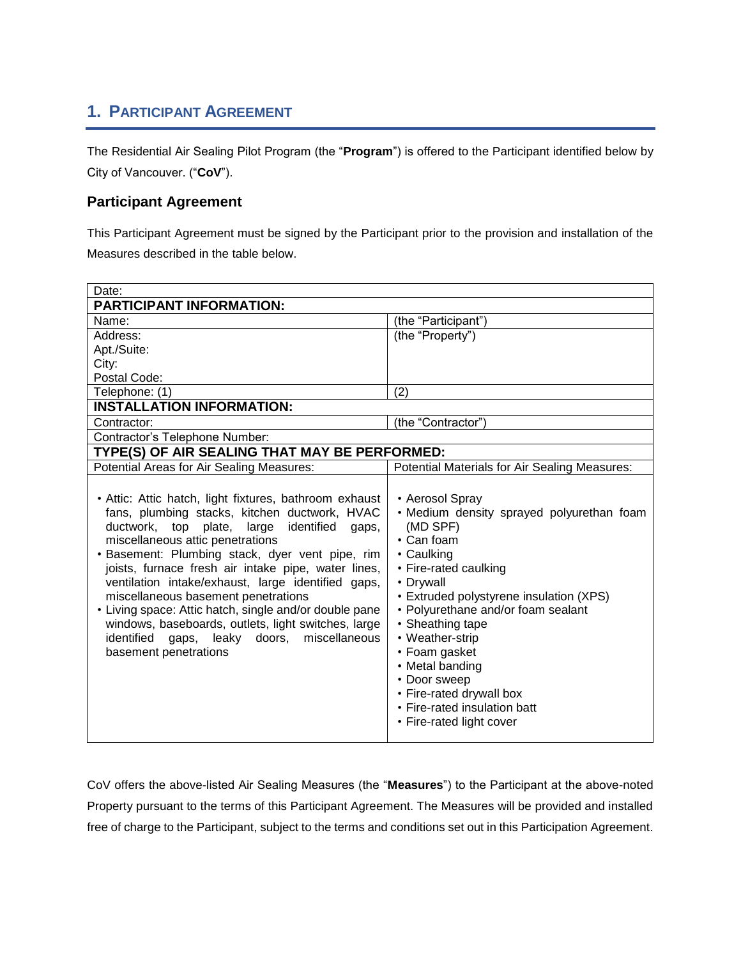## **1. PARTICIPANT AGREEMENT**

The Residential Air Sealing Pilot Program (the "**Program**") is offered to the Participant identified below by City of Vancouver. ("**CoV**").

## **Participant Agreement**

This Participant Agreement must be signed by the Participant prior to the provision and installation of the Measures described in the table below.

| Date:                                                                                                                                                                                                                                                                                                                                                                                                                                                                                                                                                                                                        |                                                                                                                                                                                                                                                                                                                                                                                                                      |
|--------------------------------------------------------------------------------------------------------------------------------------------------------------------------------------------------------------------------------------------------------------------------------------------------------------------------------------------------------------------------------------------------------------------------------------------------------------------------------------------------------------------------------------------------------------------------------------------------------------|----------------------------------------------------------------------------------------------------------------------------------------------------------------------------------------------------------------------------------------------------------------------------------------------------------------------------------------------------------------------------------------------------------------------|
| <b>PARTICIPANT INFORMATION:</b>                                                                                                                                                                                                                                                                                                                                                                                                                                                                                                                                                                              |                                                                                                                                                                                                                                                                                                                                                                                                                      |
| Name:                                                                                                                                                                                                                                                                                                                                                                                                                                                                                                                                                                                                        | (the "Participant")                                                                                                                                                                                                                                                                                                                                                                                                  |
| Address:                                                                                                                                                                                                                                                                                                                                                                                                                                                                                                                                                                                                     | (the "Property")                                                                                                                                                                                                                                                                                                                                                                                                     |
| Apt./Suite:                                                                                                                                                                                                                                                                                                                                                                                                                                                                                                                                                                                                  |                                                                                                                                                                                                                                                                                                                                                                                                                      |
| City:                                                                                                                                                                                                                                                                                                                                                                                                                                                                                                                                                                                                        |                                                                                                                                                                                                                                                                                                                                                                                                                      |
| Postal Code:                                                                                                                                                                                                                                                                                                                                                                                                                                                                                                                                                                                                 |                                                                                                                                                                                                                                                                                                                                                                                                                      |
| Telephone: (1)                                                                                                                                                                                                                                                                                                                                                                                                                                                                                                                                                                                               | (2)                                                                                                                                                                                                                                                                                                                                                                                                                  |
| <b>INSTALLATION INFORMATION:</b>                                                                                                                                                                                                                                                                                                                                                                                                                                                                                                                                                                             |                                                                                                                                                                                                                                                                                                                                                                                                                      |
| Contractor:                                                                                                                                                                                                                                                                                                                                                                                                                                                                                                                                                                                                  | (the "Contractor")                                                                                                                                                                                                                                                                                                                                                                                                   |
| Contractor's Telephone Number:                                                                                                                                                                                                                                                                                                                                                                                                                                                                                                                                                                               |                                                                                                                                                                                                                                                                                                                                                                                                                      |
| TYPE(S) OF AIR SEALING THAT MAY BE PERFORMED:                                                                                                                                                                                                                                                                                                                                                                                                                                                                                                                                                                |                                                                                                                                                                                                                                                                                                                                                                                                                      |
| <b>Potential Areas for Air Sealing Measures:</b>                                                                                                                                                                                                                                                                                                                                                                                                                                                                                                                                                             | Potential Materials for Air Sealing Measures:                                                                                                                                                                                                                                                                                                                                                                        |
| • Attic: Attic hatch, light fixtures, bathroom exhaust<br>fans, plumbing stacks, kitchen ductwork, HVAC<br>ductwork, top<br>plate,<br>large<br>identified<br>gaps,<br>miscellaneous attic penetrations<br>· Basement: Plumbing stack, dyer vent pipe, rim<br>joists, furnace fresh air intake pipe, water lines,<br>ventilation intake/exhaust, large identified gaps,<br>miscellaneous basement penetrations<br>• Living space: Attic hatch, single and/or double pane<br>windows, baseboards, outlets, light switches, large<br>identified<br>leaky doors, miscellaneous<br>gaps,<br>basement penetrations | • Aerosol Spray<br>. Medium density sprayed polyurethan foam<br>(MD SPF)<br>$\cdot$ Can foam<br>• Caulking<br>• Fire-rated caulking<br>• Drywall<br>• Extruded polystyrene insulation (XPS)<br>• Polyurethane and/or foam sealant<br>• Sheathing tape<br>• Weather-strip<br>• Foam gasket<br>• Metal banding<br>• Door sweep<br>• Fire-rated drywall box<br>• Fire-rated insulation batt<br>• Fire-rated light cover |

CoV offers the above-listed Air Sealing Measures (the "**Measures**") to the Participant at the above-noted Property pursuant to the terms of this Participant Agreement. The Measures will be provided and installed free of charge to the Participant, subject to the terms and conditions set out in this Participation Agreement.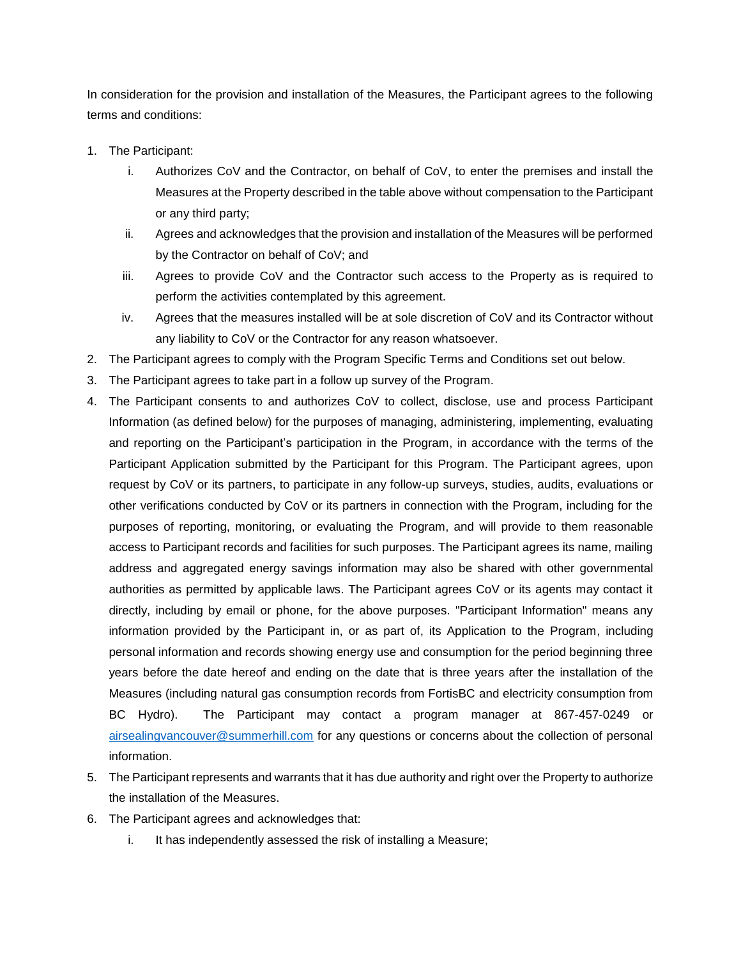In consideration for the provision and installation of the Measures, the Participant agrees to the following terms and conditions:

- 1. The Participant:
	- i. Authorizes CoV and the Contractor, on behalf of CoV, to enter the premises and install the Measures at the Property described in the table above without compensation to the Participant or any third party;
	- ii. Agrees and acknowledges that the provision and installation of the Measures will be performed by the Contractor on behalf of CoV; and
	- iii. Agrees to provide CoV and the Contractor such access to the Property as is required to perform the activities contemplated by this agreement.
	- iv. Agrees that the measures installed will be at sole discretion of CoV and its Contractor without any liability to CoV or the Contractor for any reason whatsoever.
- 2. The Participant agrees to comply with the Program Specific Terms and Conditions set out below.
- 3. The Participant agrees to take part in a follow up survey of the Program.
- 4. The Participant consents to and authorizes CoV to collect, disclose, use and process Participant Information (as defined below) for the purposes of managing, administering, implementing, evaluating and reporting on the Participant's participation in the Program, in accordance with the terms of the Participant Application submitted by the Participant for this Program. The Participant agrees, upon request by CoV or its partners, to participate in any follow-up surveys, studies, audits, evaluations or other verifications conducted by CoV or its partners in connection with the Program, including for the purposes of reporting, monitoring, or evaluating the Program, and will provide to them reasonable access to Participant records and facilities for such purposes. The Participant agrees its name, mailing address and aggregated energy savings information may also be shared with other governmental authorities as permitted by applicable laws. The Participant agrees CoV or its agents may contact it directly, including by email or phone, for the above purposes. "Participant Information" means any information provided by the Participant in, or as part of, its Application to the Program, including personal information and records showing energy use and consumption for the period beginning three years before the date hereof and ending on the date that is three years after the installation of the Measures (including natural gas consumption records from FortisBC and electricity consumption from BC Hydro). The Participant may contact a program manager at 867-457-0249 or [airsealingvancouver@summerhill.com](mailto:airsealingvancouver@summerhill.com) for any questions or concerns about the collection of personal information.
- 5. The Participant represents and warrants that it has due authority and right over the Property to authorize the installation of the Measures.
- 6. The Participant agrees and acknowledges that:
	- i. It has independently assessed the risk of installing a Measure;